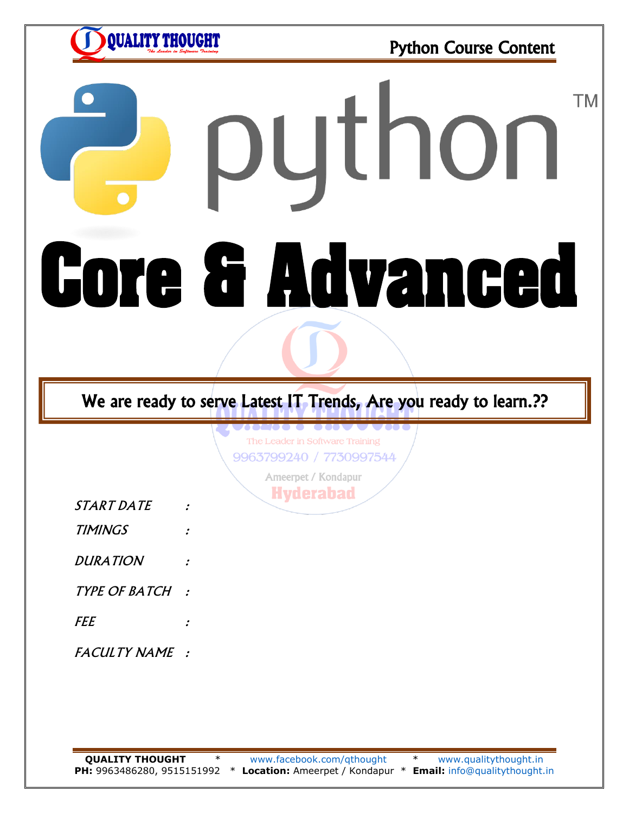**QUALITY THOUGHT** 

Python Course Content

# **TM** python **Core & Advanced**

# We are ready to serve Latest IT Trends, Are you ready to learn.??

The Leader in Software Training 9963799240 / 7730997544

> Ameerpet / Kondapur **Hyderabad**

- START DATE :
- TIMINGS :
- DURATION :
- TYPE OF BATCH :
- FEE :
- FACULTY NAME :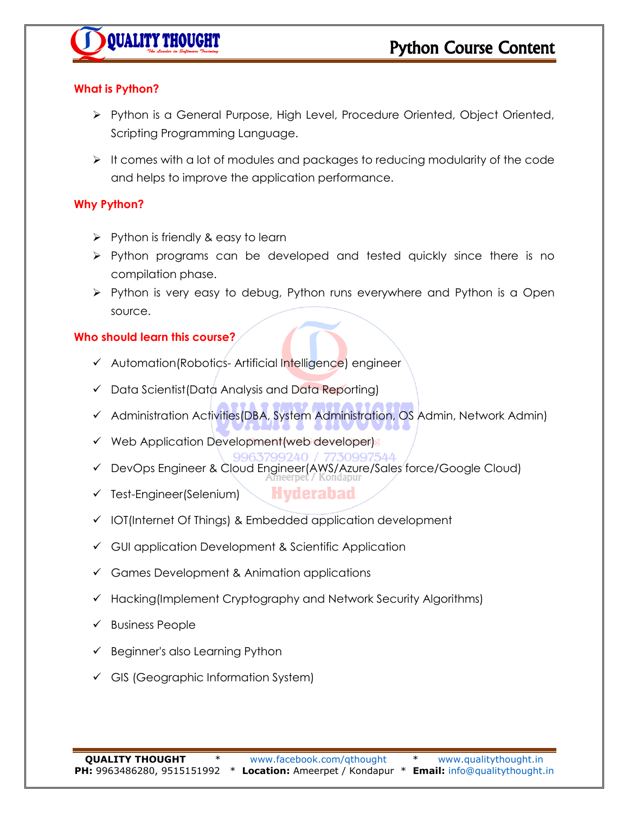

# **What is Python?**

- Python is a General Purpose, High Level, Procedure Oriented, Object Oriented, Scripting Programming Language.
- $\triangleright$  It comes with a lot of modules and packages to reducing modularity of the code and helps to improve the application performance.

# **Why Python?**

- $\triangleright$  Python is friendly & easy to learn
- $\triangleright$  Python programs can be developed and tested quickly since there is no compilation phase.
- $\triangleright$  Python is very easy to debug, Python runs everywhere and Python is a Open source.

# **Who should learn this course?**

- Automation(Robotics- Artificial Intelligence) engineer
- Data Scientist(Data Analysis and Data Reporting)
- $\checkmark$  Administration Activities(DBA, System Administration, OS Admin, Network Admin)
- $\checkmark$  Web Application Development (web developer)
- DevOps Engineer & Cloud Engineer(AWS/Azure/Sales force/Google Cloud)
- **Hyderabad**  $\checkmark$  Test-Engineer(Selenium)
- $\checkmark$  IOT(Internet Of Things) & Embedded application development
- $\checkmark$  GUI application Development & Scientific Application
- $\checkmark$  Games Development & Animation applications
- $\checkmark$  Hacking (Implement Cryptography and Network Security Algorithms)
- $\checkmark$  Business People
- $\checkmark$  Beginner's also Learning Python
- $\checkmark$  GIS (Geographic Information System)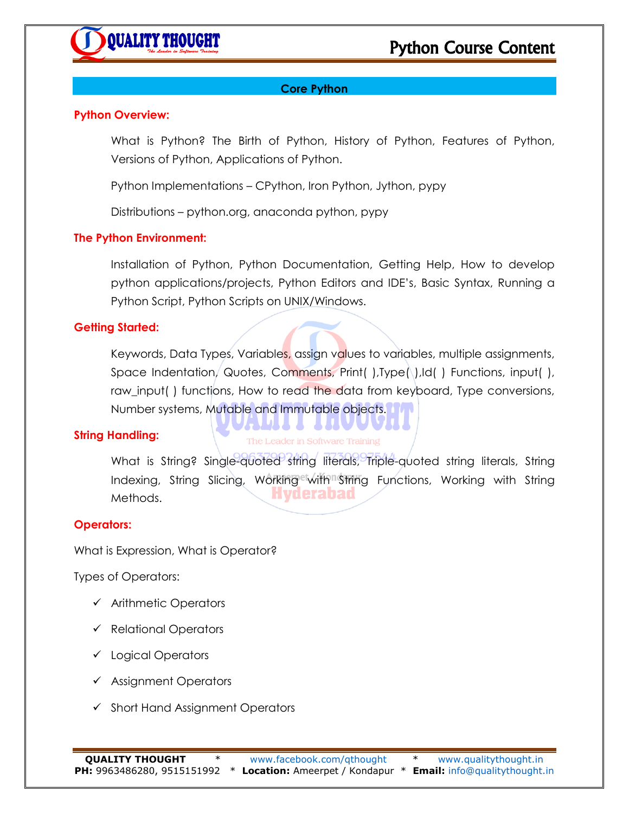# **Core Python**

#### **Python Overview:**

What is Python? The Birth of Python, History of Python, Features of Python, Versions of Python, Applications of Python.

Python Implementations – CPython, Iron Python, Jython, pypy

Distributions – python.org, anaconda python, pypy

#### **The Python Environment:**

Installation of Python, Python Documentation, Getting Help, How to develop python applications/projects, Python Editors and IDE's, Basic Syntax, Running a Python Script, Python Scripts on UNIX/Windows.

#### **Getting Started:**

Keywords, Data Types, Variables, assign values to variables, multiple assignments, Space Indentation, Quotes, Comments, Print( ), Type(\), Id( ) Functions, input( ), raw\_input( ) functions, How to read the data from keyboard, Type conversions, Number systems, Mutable and Immutable objects.

#### **String Handling:**

# The Leader in Software Training

*K* 2000 - 20

What is String? Single-quoted string literals, Triple-quoted string literals, String Indexing, String Slicing, Working with String Functions, Working with String Hyderabad Methods.

#### **Operators:**

What is Expression, What is Operator?

Types of Operators:

- $\checkmark$  Arithmetic Operators
- $\checkmark$  Relational Operators
- Logical Operators
- $\checkmark$  Assignment Operators
- $\checkmark$  Short Hand Assignment Operators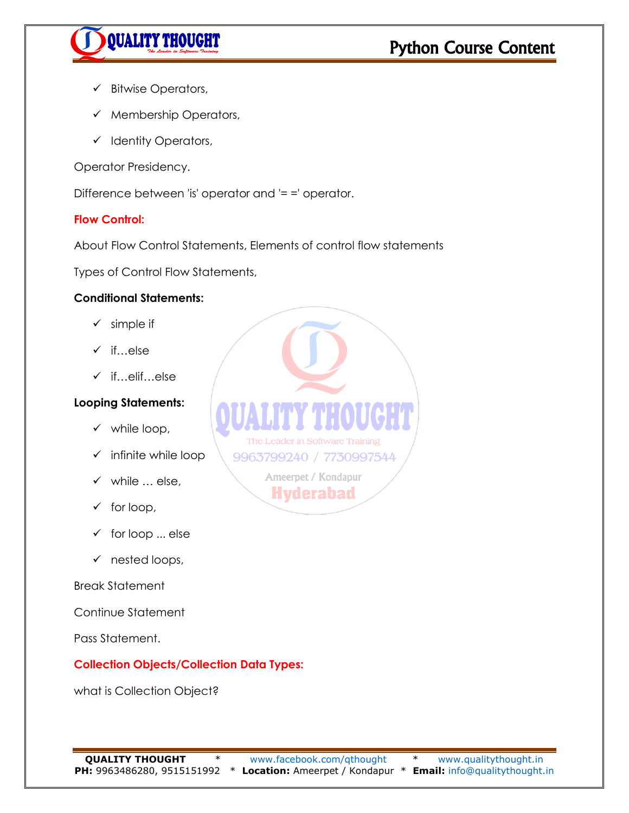

- $\checkmark$  Bitwise Operators,
- $\checkmark$  Membership Operators,
- $\checkmark$  Identity Operators,

Operator Presidency.

Difference between 'is' operator and '= =' operator.

#### **Flow Control:**

About Flow Control Statements, Elements of control flow statements

Types of Control Flow Statements,

#### **Conditional Statements:**

- $\checkmark$  simple if
- $\checkmark$  if…else
- if…elif…else
- **Looping Statements:**
	- $\checkmark$  while loop,
	- $\checkmark$  infinite while loop
	- $\checkmark$  while  $\ldots$  else,
	- $\checkmark$  for loop,
	- $\checkmark$  for loop ... else
	- $\checkmark$  nested loops,

#### Break Statement

Continue Statement

Pass Statement.

#### **Collection Objects/Collection Data Types:**

what is Collection Object?

The Leader in Software Training 9963799240 / 7730997544 Ameerpet / Kondapur **Hyderabad**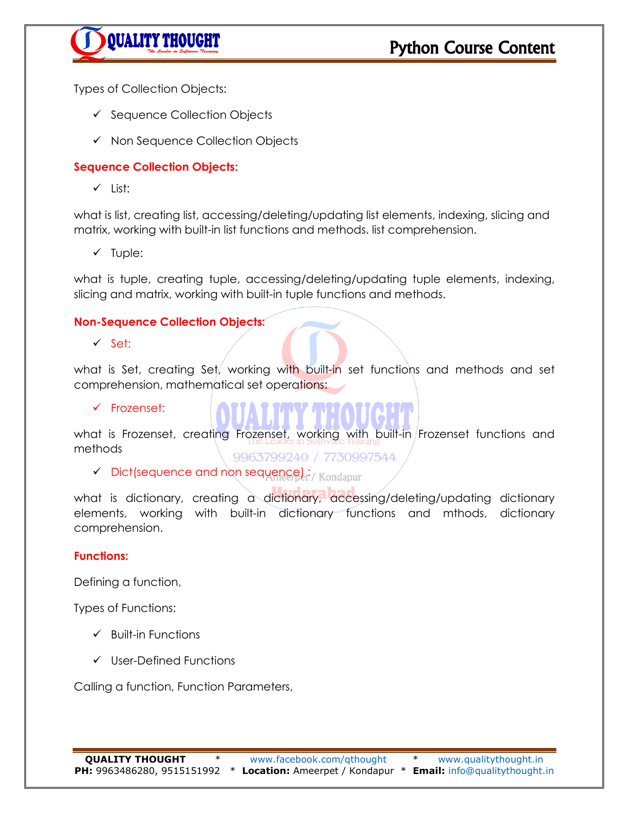

Types of Collection Objects:

- $\checkmark$  Sequence Collection Objects
- $\checkmark$  Non Sequence Collection Objects

# **Sequence Collection Objects:**

 $\checkmark$  List:

what is list, creating list, accessing/deleting/updating list elements, indexing, slicing and matrix, working with built-in list functions and methods. list comprehension.

 $\checkmark$  Tuple:

what is tuple, creating tuple, accessing/deleting/updating tuple elements, indexing, slicing and matrix, working with built-in tuple functions and methods.

#### **Non-Sequence Collection Objects:**

 $\checkmark$  Set:

what is Set, creating Set, working with built-in set functions and methods and set comprehension, mathematical set operations:

 $\checkmark$  Frozenset:

what is Frozenset, creating Frozenset, working with built-in Frozenset functions and methods 9963799240 / 7730997544

 $\checkmark$  Dict(sequence and non sequence $l_i$ :/ Kondapur

what is dictionary, creating a dictionary, accessing/deleting/updating dictionary elements, working with built-in dictionary functions and mthods, dictionary comprehension.

#### **Functions:**

Defining a function,

Types of Functions:

- $\checkmark$  Built-in Functions
- $\checkmark$  User-Defined Functions

Calling a function, Function Parameters,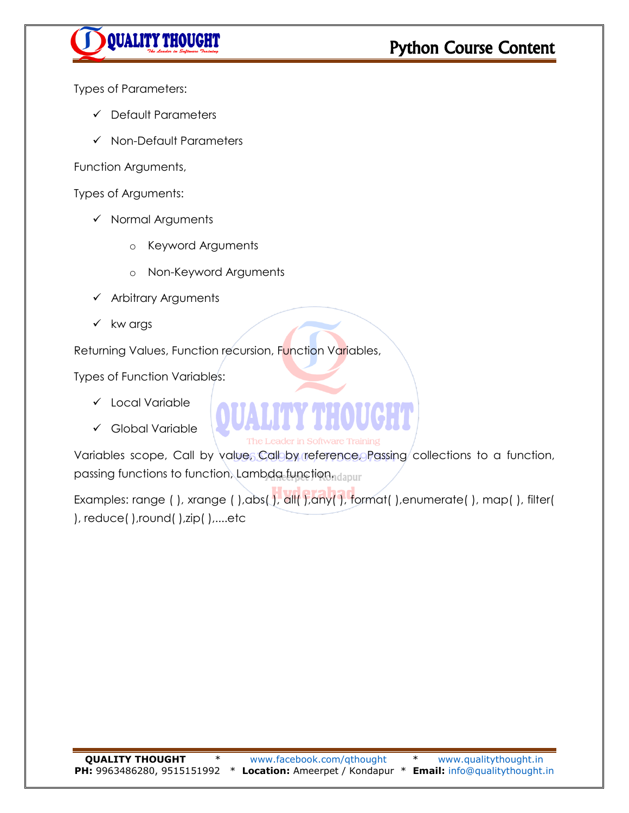

Types of Parameters:

- $\checkmark$  Default Parameters
- $\checkmark$  Non-Default Parameters

Function Arguments,

Types of Arguments:

- $\checkmark$  Normal Arguments
	- o Keyword Arguments
	- o Non-Keyword Arguments
- $\checkmark$  Arbitrary Arguments
- $\checkmark$  kw args

Returning Values, Function recursion, Function Variables,

Types of Function Variables:

- Local Variable
- Global Variable

The Leader in Software Training

Variables scope, Call by value, Call by reference, Passing collections to a function, passing functions to function, Lambda function, dapur

Examples: range ( ), xrange ( ), abs( ), all( ), any( ), format( ), enumerate( ), map( ), filter( ), reduce( ),round( ),zip( ),....etc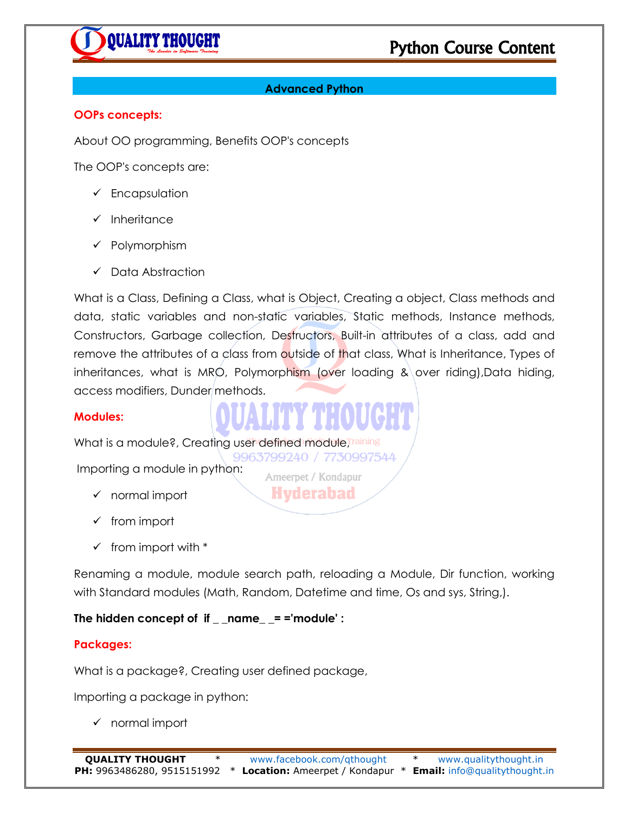

# **Advanced Python**

#### **OOPs concepts:**

About OO programming, Benefits OOP's concepts

The OOP's concepts are:

- $\checkmark$  Encapsulation
- $\checkmark$  Inheritance
- $\checkmark$  Polymorphism
- $\checkmark$  Data Abstraction

What is a Class, Defining a Class, what is Object, Creating a object, Class methods and data, static variables and non-static variables, Static methods, Instance methods, Constructors, Garbage collection, Destructors, Built-in attributes of a class, add and remove the attributes of a class from outside of that class, What is Inheritance, Types of inheritances, what is MRO, Polymorphism (over loading  $\&\overline{\phantom{\cdot}}$  over riding),Data hiding, access modifiers, Dunder methods.

#### **Modules:**

What is a module?, Creating user defined module, Training 9963799240 / 7730997544

Importing a module in python:

- $\checkmark$  normal import
- $\checkmark$  from import
- $\checkmark$  from import with  $*$

Renaming a module, module search path, reloading a Module, Dir function, working with Standard modules (Math, Random, Datetime and time, Os and sys, String,).

Ameerpet / Kondapur **Hyderabad** 

**The hidden concept of if \_ \_name\_ \_= ='module' :**

#### **Packages:**

What is a package?, Creating user defined package,

Importing a package in python:

 $\checkmark$  normal import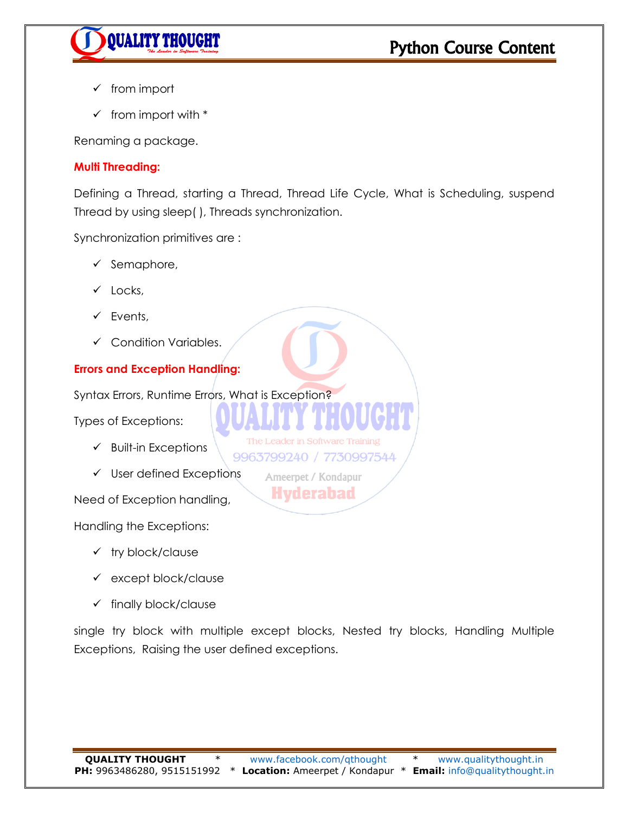

- $\checkmark$  from import
- $\checkmark$  from import with  $*$

Renaming a package.

#### **Multi Threading:**

Defining a Thread, starting a Thread, Thread Life Cycle, What is Scheduling, suspend Thread by using sleep( ), Threads synchronization.

Synchronization primitives are :

- $\checkmark$  Semaphore,
- $\checkmark$  Locks.
- $\checkmark$  Events,
- $\checkmark$  Condition Variables.

# **Errors and Exception Handling:**

Syntax Errors, Runtime Errors, What is Exception?

Types of Exceptions:

- $\checkmark$  Built-in Exceptions
- $\checkmark$  User defined Exceptions

Need of Exception handling,

Handling the Exceptions:

- $\checkmark$  try block/clause
- except block/clause
- $\checkmark$  finally block/clause

single try block with multiple except blocks, Nested try blocks, Handling Multiple Exceptions, Raising the user defined exceptions.

The Leader in Software Training 9963799240 / 7730997544 Ameerpet / Kondapur **Hyderabad**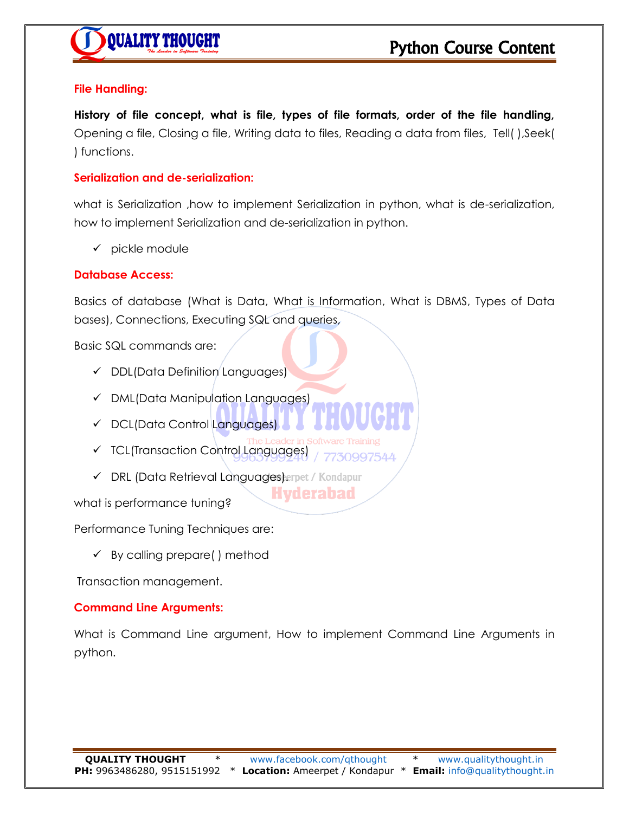# **File Handling:**

**History of file concept, what is file, types of file formats, order of the file handling,**  Opening a file, Closing a file, Writing data to files, Reading a data from files, Tell( ),Seek( ) functions.

#### **Serialization and de-serialization:**

what is Serialization ,how to implement Serialization in python, what is de-serialization, how to implement Serialization and de-serialization in python.

 $\checkmark$  pickle module

# **Database Access:**

Basics of database (What is Data, What is Information, What is DBMS, Types of Data bases), Connections, Executing SQL and queries,

Basic SQL commands are:

- $\checkmark$  DDL(Data Definition Languages)
- DML(Data Manipulation Languages)
- ← DCL(Data Control Languages)
- der in Sof TCL(Transaction Control Languages) 30007544
- ← DRL (Data Retrieval Languages)erpet / Kondapur

what is performance tuning?

Performance Tuning Techniques are:

 $\checkmark$  By calling prepare( ) method

Transaction management.

#### **Command Line Arguments:**

What is Command Line argument, How to implement Command Line Arguments in python.

**Hyderabad**